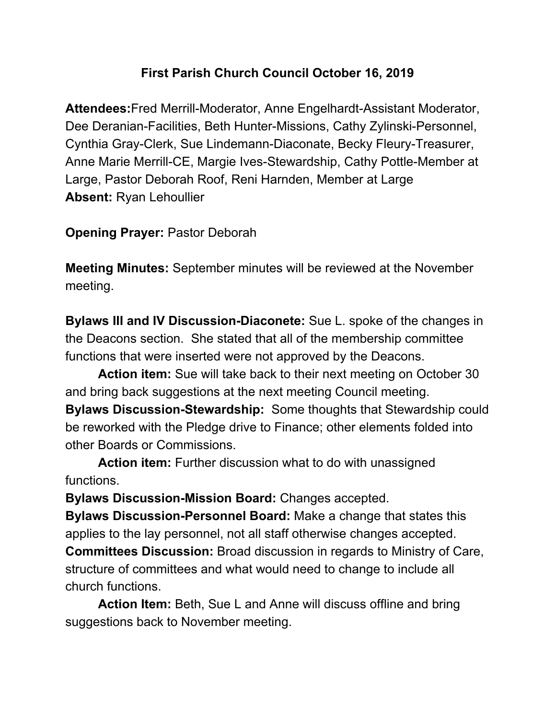## **First Parish Church Council October 16, 2019**

**Attendees:**Fred Merrill-Moderator, Anne Engelhardt-Assistant Moderator, Dee Deranian-Facilities, Beth Hunter-Missions, Cathy Zylinski-Personnel, Cynthia Gray-Clerk, Sue Lindemann-Diaconate, Becky Fleury-Treasurer, Anne Marie Merrill-CE, Margie Ives-Stewardship, Cathy Pottle-Member at Large, Pastor Deborah Roof, Reni Harnden, Member at Large **Absent:** Ryan Lehoullier

**Opening Prayer:** Pastor Deborah

**Meeting Minutes:** September minutes will be reviewed at the November meeting.

**Bylaws III and IV Discussion-Diaconete:** Sue L. spoke of the changes in the Deacons section. She stated that all of the membership committee functions that were inserted were not approved by the Deacons.

**Action item:** Sue will take back to their next meeting on October 30 and bring back suggestions at the next meeting Council meeting.

**Bylaws Discussion-Stewardship:** Some thoughts that Stewardship could be reworked with the Pledge drive to Finance; other elements folded into other Boards or Commissions.

**Action item:** Further discussion what to do with unassigned functions.

**Bylaws Discussion-Mission Board:** Changes accepted.

**Bylaws Discussion-Personnel Board:** Make a change that states this applies to the lay personnel, not all staff otherwise changes accepted. **Committees Discussion:** Broad discussion in regards to Ministry of Care, structure of committees and what would need to change to include all church functions.

**Action Item:** Beth, Sue L and Anne will discuss offline and bring suggestions back to November meeting.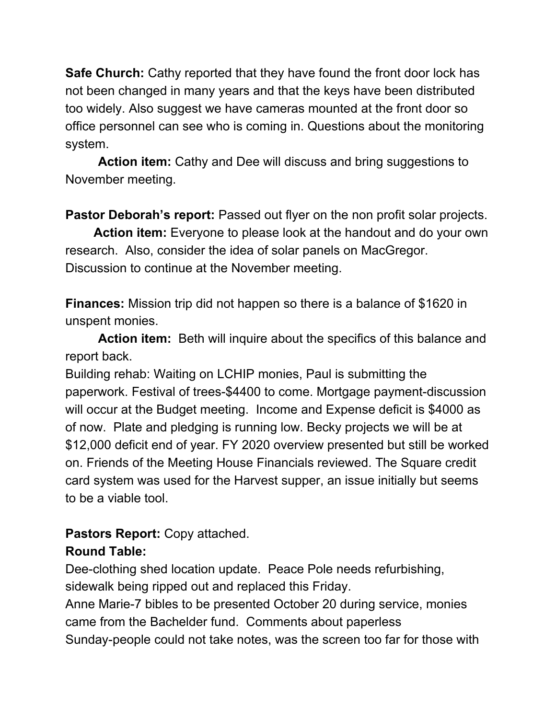**Safe Church:** Cathy reported that they have found the front door lock has not been changed in many years and that the keys have been distributed too widely. Also suggest we have cameras mounted at the front door so office personnel can see who is coming in. Questions about the monitoring system.

**Action item:** Cathy and Dee will discuss and bring suggestions to November meeting.

**Pastor Deborah's report:** Passed out flyer on the non profit solar projects.

**Action item:** Everyone to please look at the handout and do your own research. Also, consider the idea of solar panels on MacGregor. Discussion to continue at the November meeting.

**Finances:** Mission trip did not happen so there is a balance of \$1620 in unspent monies.

**Action item:** Beth will inquire about the specifics of this balance and report back.

Building rehab: Waiting on LCHIP monies, Paul is submitting the paperwork. Festival of trees-\$4400 to come. Mortgage payment-discussion will occur at the Budget meeting. Income and Expense deficit is \$4000 as of now. Plate and pledging is running low. Becky projects we will be at \$12,000 deficit end of year. FY 2020 overview presented but still be worked on. Friends of the Meeting House Financials reviewed. The Square credit card system was used for the Harvest supper, an issue initially but seems to be a viable tool.

## **Pastors Report:** Copy attached.

## **Round Table:**

Dee-clothing shed location update. Peace Pole needs refurbishing, sidewalk being ripped out and replaced this Friday.

Anne Marie-7 bibles to be presented October 20 during service, monies came from the Bachelder fund. Comments about paperless Sunday-people could not take notes, was the screen too far for those with